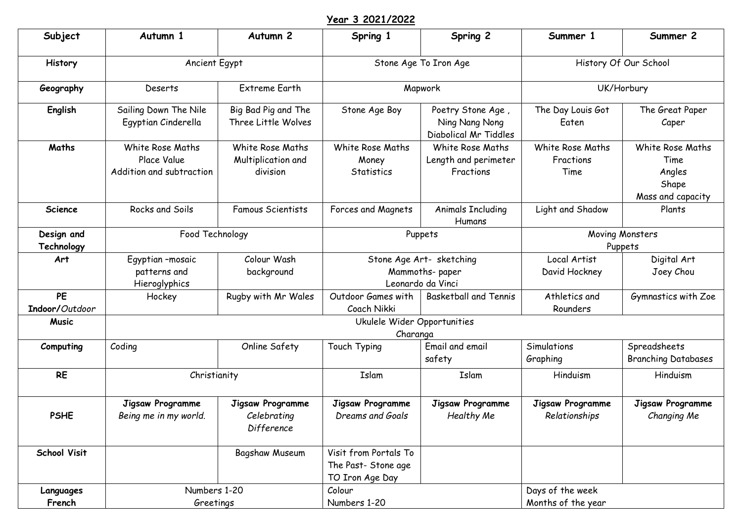## **Year 3 2021/2022**

| Subject                     | Autumn 1                                                    | Autumn <sub>2</sub>                                  | Spring 1                                                        | Spring 2                                                        | Summer 1                               | Summer 2                                                         |
|-----------------------------|-------------------------------------------------------------|------------------------------------------------------|-----------------------------------------------------------------|-----------------------------------------------------------------|----------------------------------------|------------------------------------------------------------------|
| History                     | Ancient Egypt                                               |                                                      | Stone Age To Iron Age                                           |                                                                 | History Of Our School                  |                                                                  |
| Geography                   | Deserts                                                     | <b>Extreme Earth</b>                                 | Mapwork                                                         |                                                                 | UK/Horbury                             |                                                                  |
| English                     | Sailing Down The Nile<br>Egyptian Cinderella                | Big Bad Pig and The<br>Three Little Wolves           | Stone Age Boy                                                   | Poetry Stone Age,<br>Ning Nang Nong<br>Diabolical Mr Tiddles    | The Day Louis Got<br>Eaten             | The Great Paper<br>Caper                                         |
| Maths                       | White Rose Maths<br>Place Value<br>Addition and subtraction | White Rose Maths<br>Multiplication and<br>division   | White Rose Maths<br>Money<br>Statistics                         | White Rose Maths<br>Length and perimeter<br>Fractions           | White Rose Maths<br>Fractions<br>Time  | White Rose Maths<br>Time<br>Angles<br>Shape<br>Mass and capacity |
| <b>Science</b>              | Rocks and Soils                                             | <b>Famous Scientists</b>                             | Forces and Magnets                                              | <b>Animals Including</b><br>Humans                              | Light and Shadow                       | Plants                                                           |
| Design and<br>Technology    | Food Technology                                             |                                                      | Puppets                                                         |                                                                 | Moving Monsters<br>Puppets             |                                                                  |
| Art                         | Egyptian-mosaic<br>patterns and<br>Hieroglyphics            | Colour Wash<br>background                            |                                                                 | Stone Age Art- sketching<br>Mammoths-paper<br>Leonardo da Vinci | Local Artist<br>David Hockney          | Digital Art<br>Joey Chou                                         |
| <b>PE</b><br>Indoor/Outdoor | Hockey                                                      | Rugby with Mr Wales                                  | Outdoor Games with<br>Coach Nikki                               | <b>Basketball and Tennis</b>                                    | Athletics and<br>Rounders              | Gymnastics with Zoe                                              |
| <b>Music</b>                | Ukulele Wider Opportunities<br>Charanga                     |                                                      |                                                                 |                                                                 |                                        |                                                                  |
| Computing                   | Coding                                                      | Online Safety                                        | Touch Typing                                                    | Email and email<br>safety                                       | Simulations<br>Graphing                | Spreadsheets<br><b>Branching Databases</b>                       |
| <b>RE</b>                   | Christianity                                                |                                                      | Islam                                                           | Islam                                                           | Hinduism                               | Hinduism                                                         |
| <b>PSHE</b>                 | Jigsaw Programme<br>Being me in my world.                   | <b>Jigsaw Programme</b><br>Celebrating<br>Difference | Jigsaw Programme<br>Dreams and Goals                            | Jigsaw Programme<br>Healthy Me                                  | Jigsaw Programme<br>Relationships      | Jigsaw Programme<br>Changing Me                                  |
| <b>School Visit</b>         |                                                             | Bagshaw Museum                                       | Visit from Portals To<br>The Past- Stone age<br>TO Iron Age Day |                                                                 |                                        |                                                                  |
| Languages<br>French         | Numbers 1-20<br>Greetings                                   |                                                      | Colour<br>Numbers 1-20                                          |                                                                 | Days of the week<br>Months of the year |                                                                  |